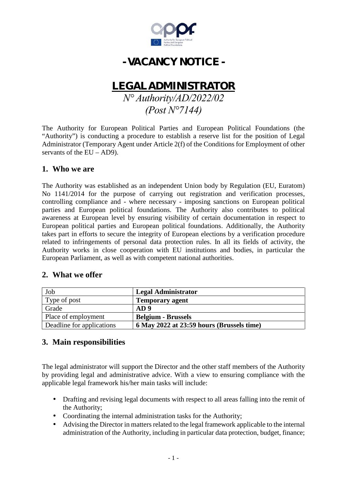

# **- VACANCY NOTICE -**

# **LEGALADMINISTRATOR**

*N° Authority/AD/2022/02 (Post N°7144)*

The Authority for European Political Parties and European Political Foundations (the "Authority") is conducting a procedure to establish a reserve list for the position of Legal Administrator (Temporary Agent under Article 2(f) of the Conditions for Employment of other servants of the  $EU - AD9$ ).

#### **1. Who we are**

The Authority was established as an independent Union body by Regulation (EU, Euratom) No 1141/2014 for the purpose of carrying out registration and verification processes, controlling compliance and - where necessary - imposing sanctions on European political parties and European political foundations. The Authority also contributes to political awareness at European level by ensuring visibility of certain documentation in respect to European political parties and European political foundations. Additionally, the Authority takes part in efforts to secure the integrity of European elections by a verification procedure related to infringements of personal data protection rules. In all its fields of activity, the Authority works in close cooperation with EU institutions and bodies, in particular the European Parliament, as well as with competent national authorities.

## **2. What we offer**

| Job                       | <b>Legal Administrator</b>                |
|---------------------------|-------------------------------------------|
| Type of post              | <b>Temporary agent</b>                    |
| Grade                     | AD9                                       |
| Place of employment       | <b>Belgium - Brussels</b>                 |
| Deadline for applications | 6 May 2022 at 23:59 hours (Brussels time) |

## **3. Main responsibilities**

The legal administrator will support the Director and the other staff members of the Authority by providing legal and administrative advice. With a view to ensuring compliance with the applicable legal framework his/her main tasks will include:

- Drafting and revising legal documents with respect to all areas falling into the remit of the Authority;
- Coordinating the internal administration tasks for the Authority;
- Advising the Director in matters related to the legal framework applicable to the internal administration of the Authority, including in particular data protection, budget, finance;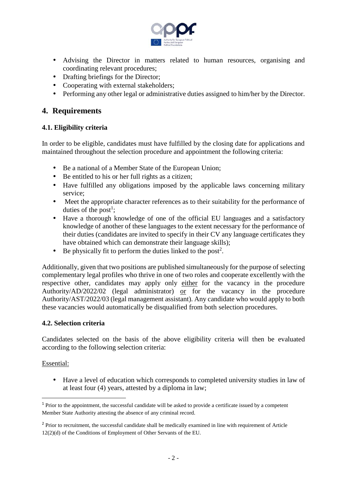

- Advising the Director in matters related to human resources, organising and coordinating relevant procedures;
- Drafting briefings for the Director;
- Cooperating with external stakeholders;
- Performing any other legal or administrative duties assigned to him/her by the Director.

## **4. Requirements**

#### **4.1. Eligibility criteria**

In order to be eligible, candidates must have fulfilled by the closing date for applications and maintained throughout the selection procedure and appointment the following criteria:

- Be a national of a Member State of the European Union;
- Be entitled to his or her full rights as a citizen;
- Have fulfilled any obligations imposed by the applicable laws concerning military service;
- Meet the appropriate character references as to their suitability for the performance of duties of the post<sup>1</sup>;
- Have a thorough knowledge of one of the official EU languages and a satisfactory knowledge of another of these languages to the extent necessary for the performance of their duties (candidates are invited to specify in their CV any language certificates they have obtained which can demonstrate their language skills);
- Be physically fit to perform the duties linked to the post<sup>2</sup>.

Additionally, given that two positions are published simultaneously for the purpose of selecting complementary legal profiles who thrive in one of two roles and cooperate excellently with the respective other, candidates may apply only either for the vacancy in the procedure Authority/AD/2022/02 (legal administrator) or for the vacancy in the procedure Authority/AST/2022/03 (legal management assistant). Any candidate who would apply to both these vacancies would automatically be disqualified from both selection procedures.

#### **4.2. Selection criteria**

Candidates selected on the basis of the above eligibility criteria will then be evaluated according to the following selection criteria:

#### Essential:

 Have a level of education which corresponds to completed university studies in law of at least four (4) years, attested by a diploma in law;

<sup>&</sup>lt;sup>1</sup> Prior to the appointment, the successful candidate will be asked to provide a certificate issued by a competent Member State Authority attesting the absence of any criminal record.

<sup>&</sup>lt;sup>2</sup> Prior to recruitment, the successful candidate shall be medically examined in line with requirement of Article 12(2)(d) of the Conditions of Employment of Other Servants of the EU.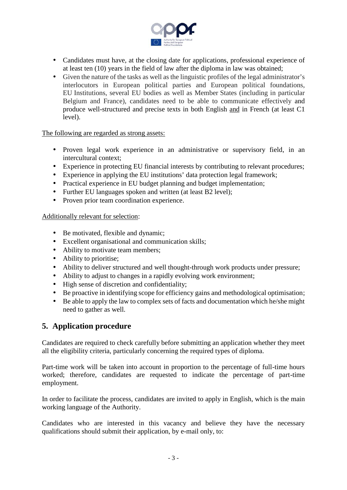

- Candidates must have, at the closing date for applications, professional experience of at least ten (10) years in the field of law after the diploma in law was obtained;
- Given the nature of the tasks as well as the linguistic profiles of the legal administrator's interlocutors in European political parties and European political foundations, EU Institutions, several EU bodies as well as Member States (including in particular Belgium and France), candidates need to be able to communicate effectively and produce well-structured and precise texts in both English and in French (at least C1 level).

The following are regarded as strong assets:

- Proven legal work experience in an administrative or supervisory field, in an intercultural context;
- Experience in protecting EU financial interests by contributing to relevant procedures;
- Experience in applying the EU institutions' data protection legal framework;
- Practical experience in EU budget planning and budget implementation;
- Further EU languages spoken and written (at least B2 level);
- Proven prior team coordination experience.

Additionally relevant for selection:

- Be motivated, flexible and dynamic;
- Excellent organisational and communication skills;
- Ability to motivate team members;
- Ability to prioritise;
- Ability to deliver structured and well thought-through work products under pressure;
- Ability to adjust to changes in a rapidly evolving work environment;
- High sense of discretion and confidentiality;
- Be proactive in identifying scope for efficiency gains and methodological optimisation;
- Be able to apply the law to complex sets of facts and documentation which he/she might need to gather as well.

## **5. Application procedure**

Candidates are required to check carefully before submitting an application whether they meet all the eligibility criteria, particularly concerning the required types of diploma.

Part-time work will be taken into account in proportion to the percentage of full-time hours worked; therefore, candidates are requested to indicate the percentage of part-time employment.

In order to facilitate the process, candidates are invited to apply in English, which is the main working language of the Authority.

Candidates who are interested in this vacancy and believe they have the necessary qualifications should submit their application, by e-mail only, to: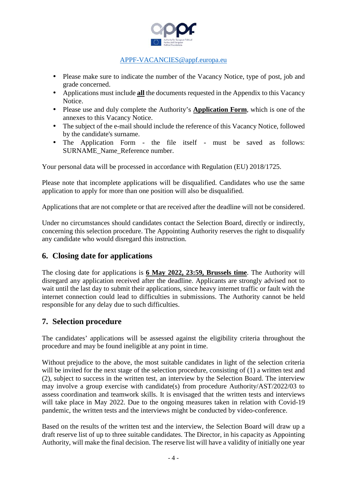

#### APPF-VACANCIES@appf.europa.eu

- Please make sure to indicate the number of the Vacancy Notice, type of post, job and grade concerned.
- Applications must include **all** the documents requested in the Appendix to this Vacancy Notice.
- Please use and duly complete the Authority's **Application Form**, which is one of the annexes to this Vacancy Notice.
- The subject of the e-mail should include the reference of this Vacancy Notice, followed by the candidate's surname.
- The Application Form the file itself must be saved as follows: SURNAME\_Name\_Reference number.

Your personal data will be processed in accordance with Regulation (EU) 2018/1725.

Please note that incomplete applications will be disqualified. Candidates who use the same application to apply for more than one position will also be disqualified.

Applications that are not complete or that are received after the deadline will not be considered.

Under no circumstances should candidates contact the Selection Board, directly or indirectly, concerning this selection procedure. The Appointing Authority reserves the right to disqualify any candidate who would disregard this instruction.

## **6. Closing date for applications**

The closing date for applications is **6 May 2022, 23:59, Brussels time**. The Authority will disregard any application received after the deadline. Applicants are strongly advised not to wait until the last day to submit their applications, since heavy internet traffic or fault with the internet connection could lead to difficulties in submissions. The Authority cannot be held responsible for any delay due to such difficulties.

## **7. Selection procedure**

The candidates' applications will be assessed against the eligibility criteria throughout the procedure and may be found ineligible at any point in time.

Without prejudice to the above, the most suitable candidates in light of the selection criteria will be invited for the next stage of the selection procedure, consisting of (1) a written test and (2), subject to success in the written test, an interview by the Selection Board. The interview may involve a group exercise with candidate(s) from procedure Authority/AST/2022/03 to assess coordination and teamwork skills. It is envisaged that the written tests and interviews will take place in May 2022. Due to the ongoing measures taken in relation with Covid-19 pandemic, the written tests and the interviews might be conducted by video-conference.

Based on the results of the written test and the interview, the Selection Board will draw up a draft reserve list of up to three suitable candidates. The Director, in his capacity as Appointing Authority, will make the final decision. The reserve list will have a validity of initially one year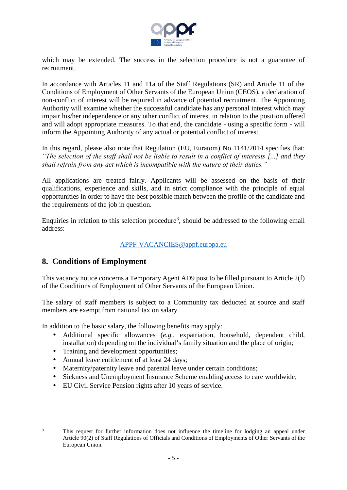

which may be extended. The success in the selection procedure is not a guarantee of recruitment.

In accordance with Articles 11 and 11a of the Staff Regulations (SR) and Article 11 of the Conditions of Employment of Other Servants of the European Union (CEOS), a declaration of non-conflict of interest will be required in advance of potential recruitment. The Appointing Authority will examine whether the successful candidate has any personal interest which may impair his/her independence or any other conflict of interest in relation to the position offered and will adopt appropriate measures. To that end, the candidate - using a specific form - will inform the Appointing Authority of any actual or potential conflict of interest.

In this regard, please also note that Regulation (EU, Euratom) No 1141/2014 specifies that: *"The selection of the staff shall not be liable to result in a conflict of interests [...] and they shall refrain from any act which is incompatible with the nature of their duties."*

All applications are treated fairly. Applicants will be assessed on the basis of their qualifications, experience and skills, and in strict compliance with the principle of equal opportunities in order to have the best possible match between the profile of the candidate and the requirements of the job in question.

Enquiries in relation to this selection procedure<sup>3</sup>, should be addressed to the following email address:

#### APPF-VACANCIES@appf.europa.eu

## **8. Conditions of Employment**

This vacancy notice concerns a Temporary Agent AD9 post to be filled pursuant to Article 2(f) of the Conditions of Employment of Other Servants of the European Union.

The salary of staff members is subject to a Community tax deducted at source and staff members are exempt from national tax on salary.

In addition to the basic salary, the following benefits may apply:

- Additional specific allowances (*e.g.*, expatriation, household, dependent child, installation) depending on the individual's family situation and the place of origin;
- Training and development opportunities;
- Annual leave entitlement of at least 24 days;
- Maternity/paternity leave and parental leave under certain conditions;
- Sickness and Unemployment Insurance Scheme enabling access to care worldwide;
- EU Civil Service Pension rights after 10 years of service.

<sup>3</sup> This request for further information does not influence the timeline for lodging an appeal under Article 90(2) of Staff Regulations of Officials and Conditions of Employments of Other Servants of the European Union.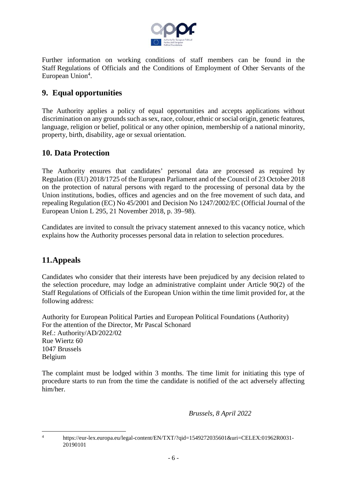

Further information on working conditions of staff members can be found in the Staff Regulations of Officials and the Conditions of Employment of Other Servants of the European Union<sup>4</sup>.

# **9. Equal opportunities**

The Authority applies a policy of equal opportunities and accepts applications without discrimination on any grounds such as sex, race, colour, ethnic or social origin, genetic features, language, religion or belief, political or any other opinion, membership of a national minority, property, birth, disability, age or sexual orientation.

## **10. Data Protection**

The Authority ensures that candidates' personal data are processed as required by Regulation (EU) 2018/1725 of the European Parliament and of the Council of 23 October 2018 on the protection of natural persons with regard to the processing of personal data by the Union institutions, bodies, offices and agencies and on the free movement of such data, and repealing Regulation (EC) No 45/2001 and Decision No 1247/2002/EC (Official Journal of the European Union L 295, 21 November 2018, p. 39–98).

Candidates are invited to consult the privacy statement annexed to this vacancy notice, which explains how the Authority processes personal data in relation to selection procedures.

## **11.Appeals**

Candidates who consider that their interests have been prejudiced by any decision related to the selection procedure, may lodge an administrative complaint under Article 90(2) of the Staff Regulations of Officials of the European Union within the time limit provided for, at the following address:

Authority for European Political Parties and European Political Foundations (Authority) For the attention of the Director, Mr Pascal Schonard Ref.: Authority/AD/2022/02 Rue Wiertz 60 1047 Brussels Belgium

The complaint must be lodged within 3 months. The time limit for initiating this type of procedure starts to run from the time the candidate is notified of the act adversely affecting him/her.

*Brussels, 8 April 2022*

<sup>4</sup> https://eur-lex.europa.eu/legal-content/EN/TXT/?qid=1549272035601&uri=CELEX:01962R0031- 20190101